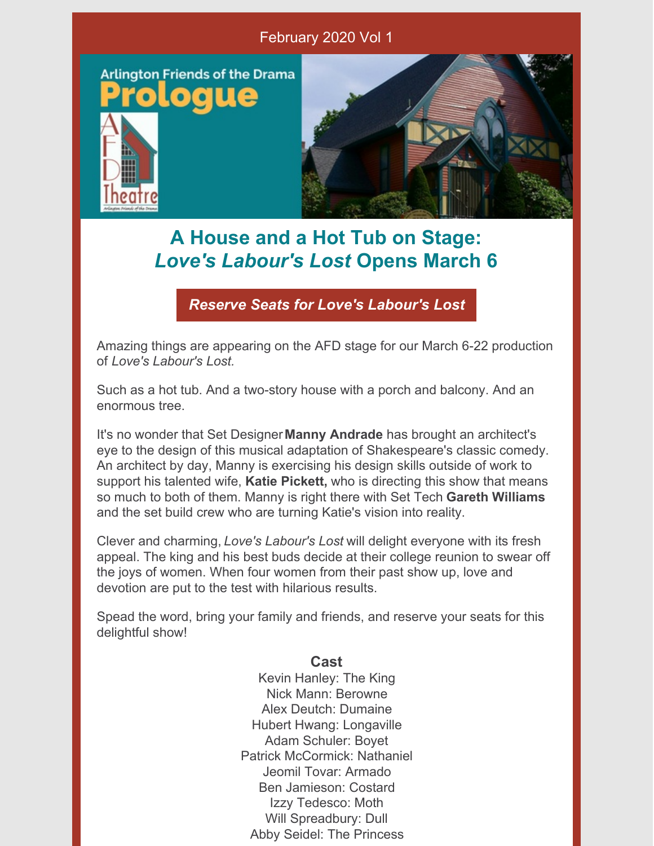

## **A House and a Hot Tub on Stage:** *Love's Labour's Lost* **Opens March 6**

*Reserve Seats for Love's [Labour's](https://www.afdtheatre.org/up-next) Lost*

Amazing things are appearing on the AFD stage for our March 6-22 production of *Love's Labour's Lost.*

Such as a hot tub. And a two-story house with a porch and balcony. And an enormous tree.

It's no wonder that Set Designer**Manny Andrade** has brought an architect's eye to the design of this musical adaptation of Shakespeare's classic comedy. An architect by day, Manny is exercising his design skills outside of work to support his talented wife, **Katie Pickett,** who is directing this show that means so much to both of them. Manny is right there with Set Tech **Gareth Williams** and the set build crew who are turning Katie's vision into reality.

Clever and charming, *Love's Labour's Lost* will delight everyone with its fresh appeal. The king and his best buds decide at their college reunion to swear off the joys of women. When four women from their past show up, love and devotion are put to the test with hilarious results.

Spead the word, bring your family and friends, and reserve your seats for this delightful show!

#### **Cast**

Kevin Hanley: The King Nick Mann: Berowne Alex Deutch: Dumaine Hubert Hwang: Longaville Adam Schuler: Boyet Patrick McCormick: Nathaniel Jeomil Tovar: Armado Ben Jamieson: Costard Izzy Tedesco: Moth Will Spreadbury: Dull Abby Seidel: The Princess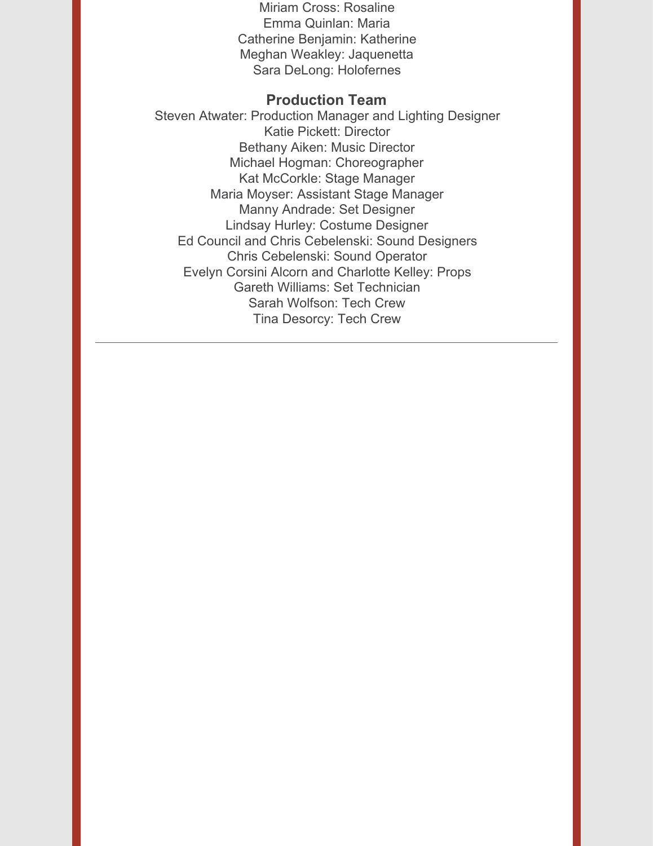Miriam Cross: Rosaline Emma Quinlan: Maria Catherine Benjamin: Katherine Meghan Weakley: Jaquenetta Sara DeLong: Holofernes

#### **Production Team**

Steven Atwater: Production Manager and Lighting Designer Katie Pickett: Director Bethany Aiken: Music Director Michael Hogman: Choreographer Kat McCorkle: Stage Manager Maria Moyser: Assistant Stage Manager Manny Andrade: Set Designer Lindsay Hurley: Costume Designer Ed Council and Chris Cebelenski: Sound Designers Chris Cebelenski: Sound Operator Evelyn Corsini Alcorn and Charlotte Kelley: Props Gareth Williams: Set Technician Sarah Wolfson: Tech Crew Tina Desorcy: Tech Crew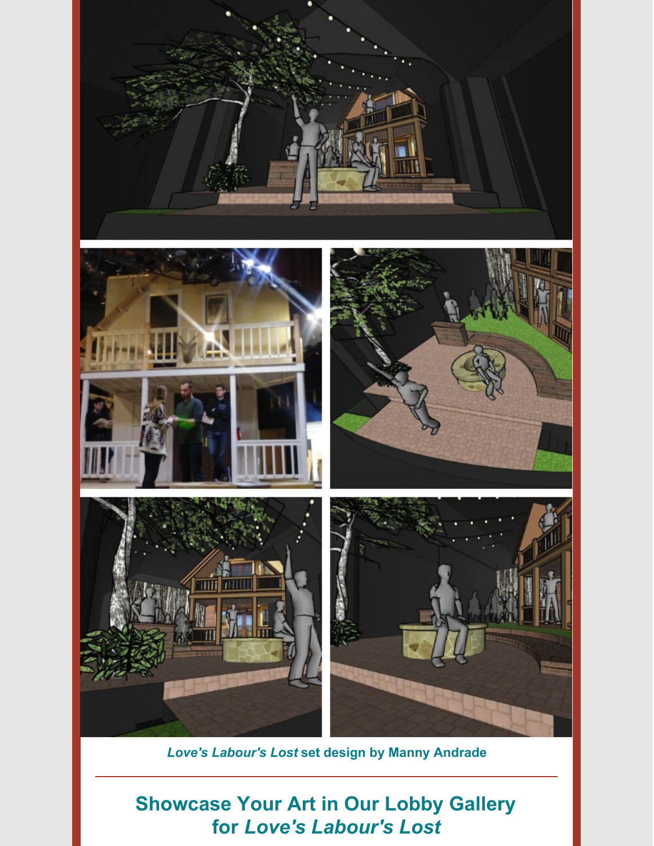

*Love's Labour's Lost* **set design by Manny Andrade**

### **Showcase Your Art in Our Lobby Gallery for** *Love's Labour's Lost*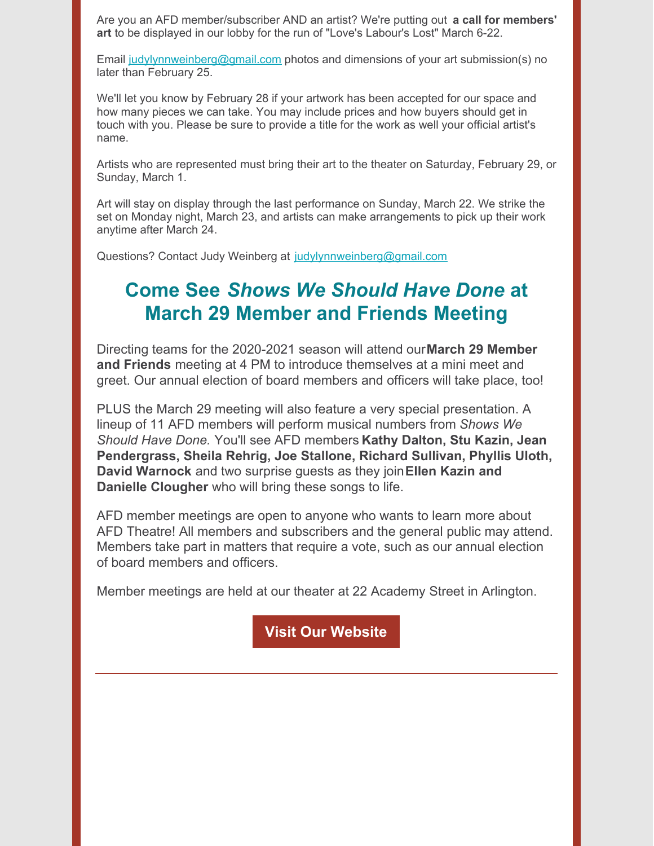Are you an AFD member/subscriber AND an artist? We're putting out **a call for members' art** to be displayed in our lobby for the run of "Love's Labour's Lost" March 6-22.

Email [judylynnweinberg@gmail.com](mailto:judylynnweinberg@gmail.com) photos and dimensions of your art submission(s) no later than February 25.

We'll let you know by February 28 if your artwork has been accepted for our space and how many pieces we can take. You may include prices and how buyers should get in touch with you. Please be sure to provide a title for the work as well your official artist's name.

Artists who are represented must bring their art to the theater on Saturday, February 29, or Sunday, March 1.

Art will stay on display through the last performance on Sunday, March 22. We strike the set on Monday night, March 23, and artists can make arrangements to pick up their work anytime after March 24.

Questions? Contact Judy Weinberg at [judylynnweinberg@gmail.com](mailto:judylynnweinberg@gmail.com)

### **Come See** *Shows We Should Have Done* **at March 29 Member and Friends Meeting**

Directing teams for the 2020-2021 season will attend our**March 29 Member and Friends** meeting at 4 PM to introduce themselves at a mini meet and greet. Our annual election of board members and officers will take place, too!

PLUS the March 29 meeting will also feature a very special presentation. A lineup of 11 AFD members will perform musical numbers from *Shows We Should Have Done.* You'll see AFD members **Kathy Dalton, Stu Kazin, Jean Pendergrass, Sheila Rehrig, Joe Stallone, Richard Sullivan, Phyllis Uloth, David Warnock** and two surprise guests as they join**Ellen Kazin and Danielle Clougher** who will bring these songs to life.

AFD member meetings are open to anyone who wants to learn more about AFD Theatre! All members and subscribers and the general public may attend. Members take part in matters that require a vote, such as our annual election of board members and officers.

Member meetings are held at our theater at 22 Academy Street in Arlington.

**Visit Our [Website](https://www.afdtheatre.org/)**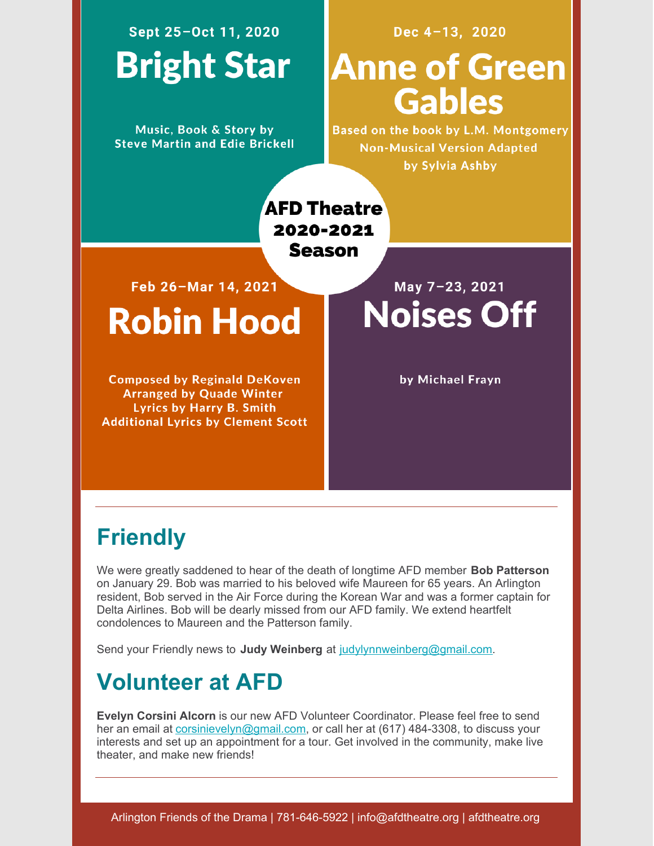# Sept 25-Oct 11, 2020 **Bright Star**

Music, Book & Story by **Steve Martin and Edie Brickell** 

### Dec 4-13, 2020

# **Anne of Green Gables**

Based on the book by L.M. Montgomery **Non-Musical Version Adapted** by Sylvia Ashby

**AFD Theatre** 2020-2021 **Season** 

Feb 26-Mar 14, 2021

**Robin Hood** 

**Composed by Reginald DeKoven Arranged by Quade Winter Lyrics by Harry B. Smith Additional Lyrics by Clement Scott** 

May 7-23, 2021 **Noises Off** 

by Michael Frayn

## **Friendly**

We were greatly saddened to hear of the death of longtime AFD member **Bob Patterson** on January 29. Bob was married to his beloved wife Maureen for 65 years. An Arlington resident, Bob served in the Air Force during the Korean War and was a former captain for Delta Airlines. Bob will be dearly missed from our AFD family. We extend heartfelt condolences to Maureen and the Patterson family.

Send your Friendly news to **Judy Weinberg** at [judylynnweinberg@gmail.com](mailto:judylynnweinberg@gmail.com).

## **Volunteer at AFD**

**Evelyn Corsini Alcorn** is our new AFD Volunteer Coordinator. Please feel free to send her an email at [corsinievelyn@gmail.com](mailto:corsinievelyn@gmail.com), or call her at (617) 484-3308, to discuss your interests and set up an appointment for a tour. Get involved in the community, make live theater, and make new friends!

Arlington Friends of the Drama | 781-646-5922 | info@afdtheatre.org | afdtheatre.org